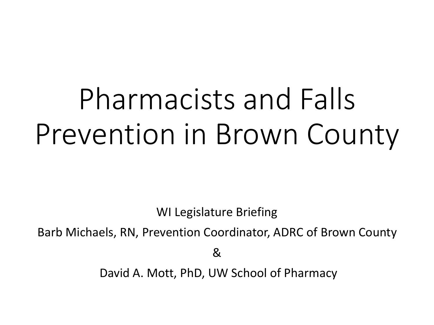# Pharmacists and Falls Prevention in Brown County

WI Legislature Briefing

Barb Michaels, RN, Prevention Coordinator, ADRC of Brown County

&

David A. Mott, PhD, UW School of Pharmacy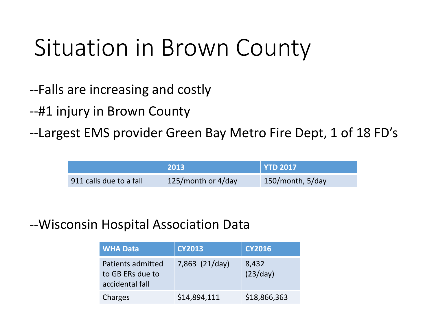### Situation in Brown County

- --Falls are increasing and costly
- --#1 injury in Brown County
- --Largest EMS provider Green Bay Metro Fire Dept, 1 of 18 FD's

|                         | 2013               | <b>YTD 2017</b>  |
|-------------------------|--------------------|------------------|
| 911 calls due to a fall | 125/month or 4/day | 150/month, 5/day |

#### --Wisconsin Hospital Association Data

| <b>WHA Data</b>                                          | <b>CY2013</b>  | <b>CY2016</b>     |
|----------------------------------------------------------|----------------|-------------------|
| Patients admitted<br>to GB ERs due to<br>accidental fall | 7,863 (21/day) | 8,432<br>(23/day) |
| Charges                                                  | \$14,894,111   | \$18,866,363      |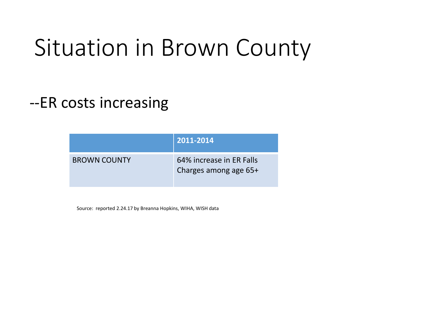### Situation in Brown County

#### --ER costs increasing

|                     | 2011-2014                                         |
|---------------------|---------------------------------------------------|
| <b>BROWN COUNTY</b> | 64% increase in ER Falls<br>Charges among age 65+ |

Source: reported 2.24.17 by Breanna Hopkins, WIHA, WISH data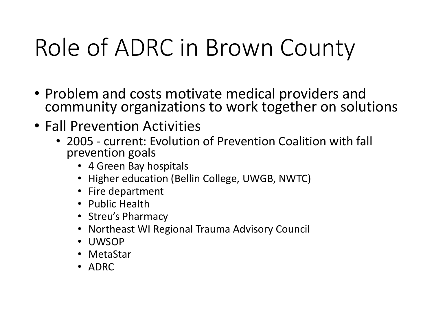## Role of ADRC in Brown County

- Problem and costs motivate medical providers and community organizations to work together on solutions
- Fall Prevention Activities
	- 2005 current: Evolution of Prevention Coalition with fall prevention goals
		- 4 Green Bay hospitals
		- Higher education (Bellin College, UWGB, NWTC)
		- Fire department
		- Public Health
		- Streu's Pharmacy
		- Northeast WI Regional Trauma Advisory Council
		- UWSOP
		- MetaStar
		- ADRC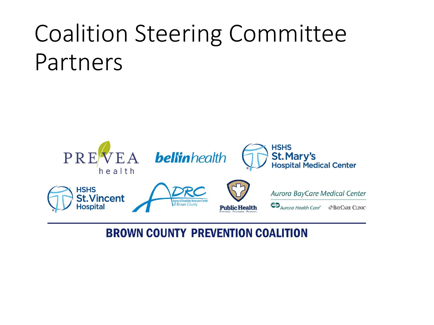### Coalition Steering Committee Partners



#### **BROWN COUNTY PREVENTION COALITION**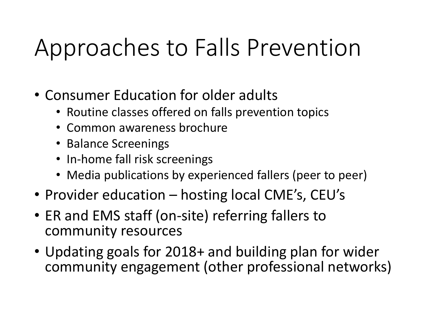## Approaches to Falls Prevention

- Consumer Education for older adults
	- Routine classes offered on falls prevention topics
	- Common awareness brochure
	- Balance Screenings
	- In-home fall risk screenings
	- Media publications by experienced fallers (peer to peer)
- Provider education hosting local CME's, CEU's
- ER and EMS staff (on-site) referring fallers to community resources
- Updating goals for 2018+ and building plan for wider community engagement (other professional networks)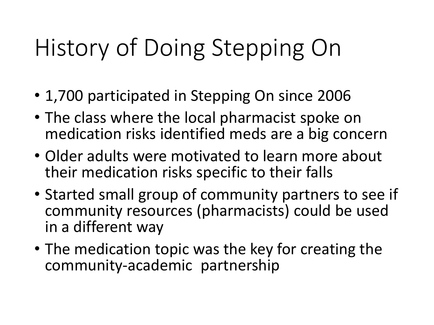## History of Doing Stepping On

- 1,700 participated in Stepping On since 2006
- The class where the local pharmacist spoke on medication risks identified meds are a big concern
- Older adults were motivated to learn more about their medication risks specific to their falls
- Started small group of community partners to see if community resources (pharmacists) could be used in a different way
- The medication topic was the key for creating the community-academic partnership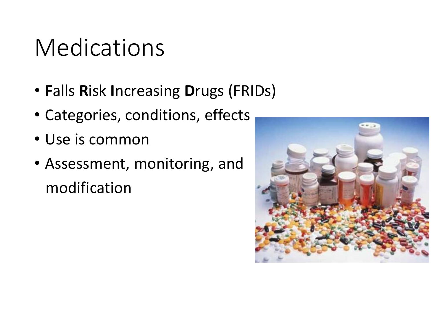### Medications

- **F**alls **R**isk **I**ncreasing **D**rugs (FRIDs)
- Categories, conditions, effects
- Use is common
- Assessment, monitoring, and modification

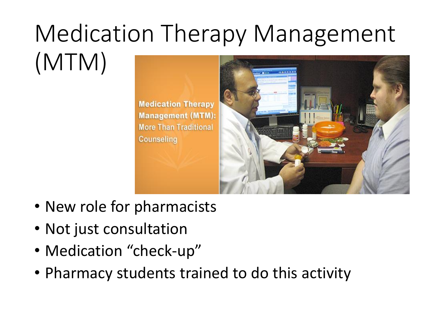#### Medication Therapy Management (MTM) anno anno

**Medication Therapy Management (MTM): More Than Traditional Counseling** 



- New role for pharmacists
- Not just consultation
- Medication "check-up"
- Pharmacy students trained to do this activity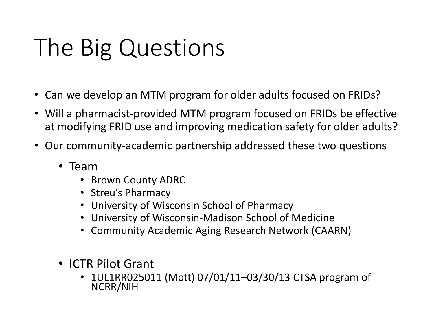## The Big Questions

- Can we develop an MTM program for older adults focused on FRIDs?
- Will a pharmacist-provided MTM program focused on FRIDs be effective at modifying FRID use and improving medication safety for older adults?
- Our community-academic partnership addressed these two questions
	- Team
		- Brown County ADRC
		- Streu's Pharmacy
		- University of Wisconsin School of Pharmacy
		- University of Wisconsin-Madison School of Medicine
		- Community Academic Aging Research Network (CAARN)
	- ICTR Pilot Grant
		- 1UL1RR025011 (Mott) 07/01/11–03/30/13 CTSA program of NCRR/NIH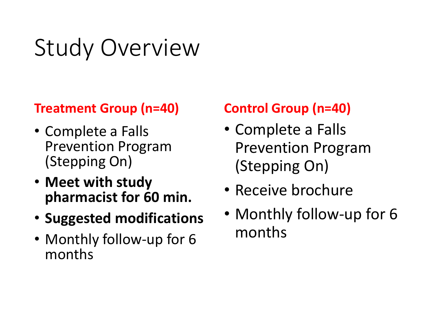## Study Overview

#### **Treatment Group (n=40)**

- Complete a Falls Prevention Program (Stepping On)
- **Meet with study pharmacist for 60 min.**
- **Suggested modifications**
- Monthly follow-up for 6 months

#### **Control Group (n=40)**

- Complete a Falls Prevention Program (Stepping On)
- Receive brochure
- Monthly follow-up for 6 months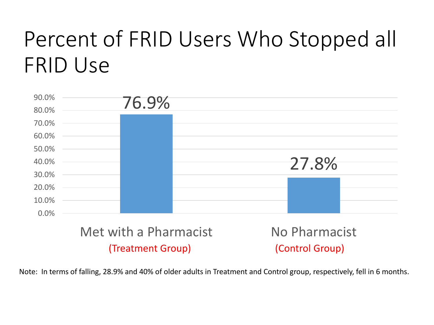### Percent of FRID Users Who Stopped all FRID Use



Note: In terms of falling, 28.9% and 40% of older adults in Treatment and Control group, respectively, fell in 6 months.